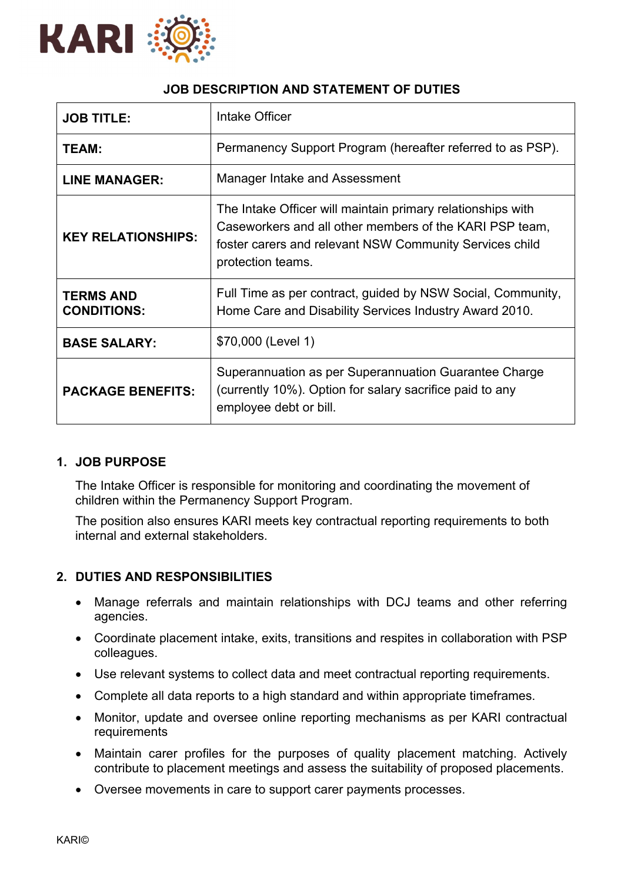

# **JOB DESCRIPTION AND STATEMENT OF DUTIES**

| <b>JOB TITLE:</b>                      | Intake Officer                                                                                                                                                                                         |
|----------------------------------------|--------------------------------------------------------------------------------------------------------------------------------------------------------------------------------------------------------|
| TEAM:                                  | Permanency Support Program (hereafter referred to as PSP).                                                                                                                                             |
| <b>LINE MANAGER:</b>                   | Manager Intake and Assessment                                                                                                                                                                          |
| <b>KEY RELATIONSHIPS:</b>              | The Intake Officer will maintain primary relationships with<br>Caseworkers and all other members of the KARI PSP team,<br>foster carers and relevant NSW Community Services child<br>protection teams. |
| <b>TERMS AND</b><br><b>CONDITIONS:</b> | Full Time as per contract, guided by NSW Social, Community,<br>Home Care and Disability Services Industry Award 2010.                                                                                  |
| <b>BASE SALARY:</b>                    | \$70,000 (Level 1)                                                                                                                                                                                     |
| <b>PACKAGE BENEFITS:</b>               | Superannuation as per Superannuation Guarantee Charge<br>(currently 10%). Option for salary sacrifice paid to any<br>employee debt or bill.                                                            |

## **1. JOB PURPOSE**

The Intake Officer is responsible for monitoring and coordinating the movement of children within the Permanency Support Program.

The position also ensures KARI meets key contractual reporting requirements to both internal and external stakeholders.

## **2. DUTIES AND RESPONSIBILITIES**

- Manage referrals and maintain relationships with DCJ teams and other referring agencies.
- Coordinate placement intake, exits, transitions and respites in collaboration with PSP colleagues.
- Use relevant systems to collect data and meet contractual reporting requirements.
- Complete all data reports to a high standard and within appropriate timeframes.
- Monitor, update and oversee online reporting mechanisms as per KARI contractual requirements
- Maintain carer profiles for the purposes of quality placement matching. Actively contribute to placement meetings and assess the suitability of proposed placements.
- Oversee movements in care to support carer payments processes.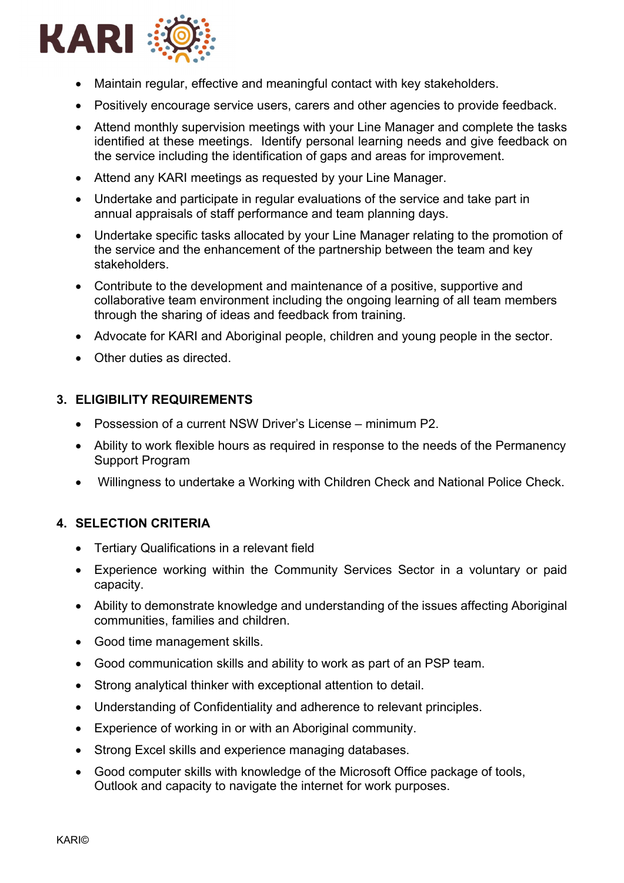

- Maintain regular, effective and meaningful contact with key stakeholders.
- Positively encourage service users, carers and other agencies to provide feedback.
- Attend monthly supervision meetings with your Line Manager and complete the tasks identified at these meetings. Identify personal learning needs and give feedback on the service including the identification of gaps and areas for improvement.
- Attend any KARI meetings as requested by your Line Manager.
- Undertake and participate in regular evaluations of the service and take part in annual appraisals of staff performance and team planning days.
- Undertake specific tasks allocated by your Line Manager relating to the promotion of the service and the enhancement of the partnership between the team and key stakeholders.
- Contribute to the development and maintenance of a positive, supportive and collaborative team environment including the ongoing learning of all team members through the sharing of ideas and feedback from training.
- Advocate for KARI and Aboriginal people, children and young people in the sector.
- Other duties as directed.

### **3. ELIGIBILITY REQUIREMENTS**

- Possession of a current NSW Driver's License minimum P2.
- Ability to work flexible hours as required in response to the needs of the Permanency Support Program
- Willingness to undertake a Working with Children Check and National Police Check.

### **4. SELECTION CRITERIA**

- Tertiary Qualifications in a relevant field
- Experience working within the Community Services Sector in a voluntary or paid capacity.
- Ability to demonstrate knowledge and understanding of the issues affecting Aboriginal communities, families and children.
- Good time management skills.
- Good communication skills and ability to work as part of an PSP team.
- Strong analytical thinker with exceptional attention to detail.
- Understanding of Confidentiality and adherence to relevant principles.
- Experience of working in or with an Aboriginal community.
- Strong Excel skills and experience managing databases.
- Good computer skills with knowledge of the Microsoft Office package of tools, Outlook and capacity to navigate the internet for work purposes.